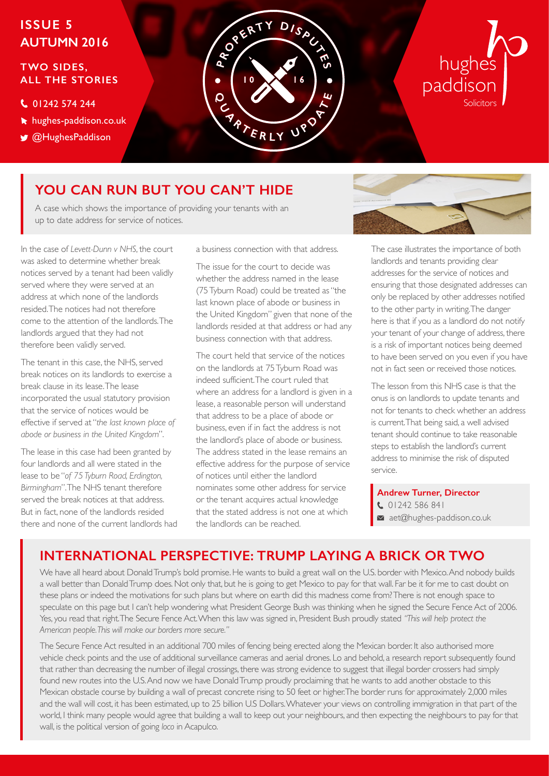# **ISSUE 5 AUTUMN 2016**

## **TWO SIDES, ALL THE STORIES**

## C 01242 574 244

- hughes-paddison.co.uk
- **W** @HughesPaddison



# hughes paddison **Solicitors**

# **YOU CAN RUN BUT YOU CAN'T HIDE**

A case which shows the importance of providing your tenants with an up to date address for service of notices.

In the case of *Levett-Dunn v NHS*, the court was asked to determine whether break notices served by a tenant had been validly served where they were served at an address at which none of the landlords resided. The notices had not therefore come to the attention of the landlords. The landlords argued that they had not therefore been validly served.

The tenant in this case, the NHS, served break notices on its landlords to exercise a break clause in its lease. The lease incorporated the usual statutory provision that the service of notices would be effective if served at "*the last known place of abode or business in the United Kingdom*".

The lease in this case had been granted by four landlords and all were stated in the lease to be "*of 75 Tyburn Road, Erdington, Birmingham*". The NHS tenant therefore served the break notices at that address. But in fact, none of the landlords resided there and none of the current landlords had a business connection with that address.

The issue for the court to decide was whether the address named in the lease (75 Tyburn Road) could be treated as "the last known place of abode or business in the United Kingdom" given that none of the landlords resided at that address or had any business connection with that address.

The court held that service of the notices on the landlords at 75 Tyburn Road was indeed sufficient. The court ruled that where an address for a landlord is given in a lease, a reasonable person will understand that address to be a place of abode or business, even if in fact the address is not the landlord's place of abode or business. The address stated in the lease remains an effective address for the purpose of service of notices until either the landlord nominates some other address for service or the tenant acquires actual knowledge that the stated address is not one at which the landlords can be reached.



The case illustrates the importance of both landlords and tenants providing clear addresses for the service of notices and ensuring that those designated addresses can only be replaced by other addresses notified to the other party in writing. The danger here is that if you as a landlord do not notify your tenant of your change of address, there is a risk of important notices being deemed to have been served on you even if you have not in fact seen or received those notices.

The lesson from this NHS case is that the onus is on landlords to update tenants and not for tenants to check whether an address is current. That being said, a well advised tenant should continue to take reasonable steps to establish the landlord's current address to minimise the risk of disputed service.

 **Andrew Turner, Director**  $01242586841$ aet@hughes-paddison.co.uk

# **INTERNATIONAL PERSPECTIVE: TRUMP LAYING A BRICK OR TWO**

We have all heard about Donald Trump's bold promise. He wants to build a great wall on the U.S. border with Mexico. And nobody builds a wall better than Donald Trump does. Not only that, but he is going to get Mexico to pay for that wall. Far be it for me to cast doubt on these plans or indeed the motivations for such plans but where on earth did this madness come from? There is not enough space to speculate on this page but I can't help wondering what President George Bush was thinking when he signed the Secure Fence Act of 2006. Yes, you read that right. The Secure Fence Act. When this law was signed in, President Bush proudly stated *"This will help protect the American people. This will make our borders more secure."*

The Secure Fence Act resulted in an additional 700 miles of fencing being erected along the Mexican border. It also authorised more vehicle check points and the use of additional surveillance cameras and aerial drones. Lo and behold, a research report subsequently found that rather than decreasing the number of illegal crossings, there was strong evidence to suggest that illegal border crossers had simply found new routes into the U.S. And now we have Donald Trump proudly proclaiming that he wants to add another obstacle to this Mexican obstacle course by building a wall of precast concrete rising to 50 feet or higher. The border runs for approximately 2,000 miles and the wall will cost, it has been estimated, up to 25 billion U.S Dollars. Whatever your views on controlling immigration in that part of the world, I think many people would agree that building a wall to keep out your neighbours, and then expecting the neighbours to pay for that wall, is the political version of going *loco* in Acapulco.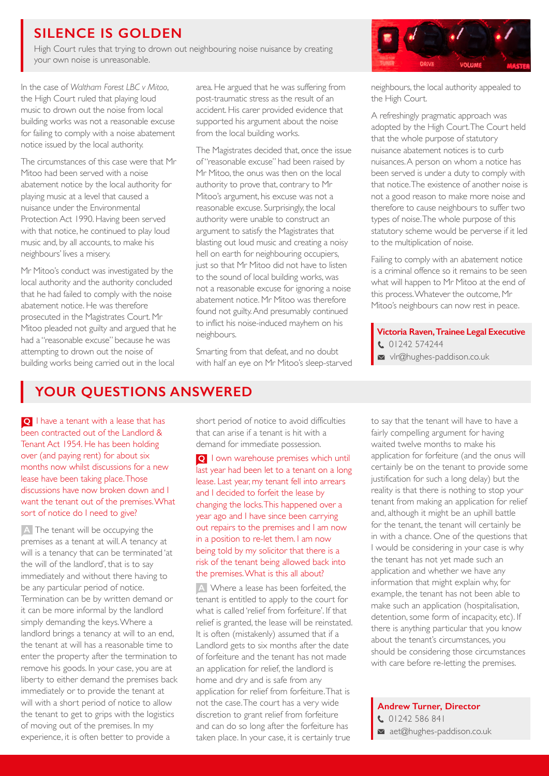## **SILENCE IS GOLDEN**

High Court rules that trying to drown out neighbouring noise nuisance by creating your own noise is unreasonable.

In the case of *Waltham Forest LBC v Mitoo*, the High Court ruled that playing loud music to drown out the noise from local building works was not a reasonable excuse for failing to comply with a noise abatement notice issued by the local authority.

The circumstances of this case were that Mr Mitoo had been served with a noise abatement notice by the local authority for playing music at a level that caused a nuisance under the Environmental Protection Act 1990. Having been served with that notice, he continued to play loud music and, by all accounts, to make his neighbours' lives a misery.

Mr Mitoo's conduct was investigated by the local authority and the authority concluded that he had failed to comply with the noise abatement notice. He was therefore prosecuted in the Magistrates Court. Mr Mitoo pleaded not guilty and argued that he had a "reasonable excuse" because he was attempting to drown out the noise of building works being carried out in the local

area. He argued that he was suffering from post-traumatic stress as the result of an accident. His carer provided evidence that supported his argument about the noise from the local building works.

The Magistrates decided that, once the issue of "reasonable excuse" had been raised by Mr Mitoo, the onus was then on the local authority to prove that, contrary to Mr Mitoo's argument, his excuse was not a reasonable excuse. Surprisingly, the local authority were unable to construct an argument to satisfy the Magistrates that blasting out loud music and creating a noisy hell on earth for neighbouring occupiers, just so that Mr Mitoo did not have to listen to the sound of local building works, was not a reasonable excuse for ignoring a noise abatement notice. Mr Mitoo was therefore found not guilty. And presumably continued to inflict his noise-induced mayhem on his neighbours.

Smarting from that defeat, and no doubt with half an eye on Mr Mitoo's sleep-starved



neighbours, the local authority appealed to the High Court.

A refreshingly pragmatic approach was adopted by the High Court. The Court held that the whole purpose of statutory nuisance abatement notices is to curb nuisances. A person on whom a notice has been served is under a duty to comply with that notice. The existence of another noise is not a good reason to make more noise and therefore to cause neighbours to suffer two types of noise. The whole purpose of this statutory scheme would be perverse if it led to the multiplication of noise.

Failing to comply with an abatement notice is a criminal offence so it remains to be seen what will happen to Mr Mitoo at the end of this process. Whatever the outcome, Mr Mitoo's neighbours can now rest in peace.

**Victoria Raven,Trainee Legal Executive** 01242 574244 vlr@hughes-paddison.co.uk

## **YOUR QUESTIONS ANSWERED**

**Q** I have a tenant with a lease that has been contracted out of the Landlord & Tenant Act 1954. He has been holding over (and paying rent) for about six months now whilst discussions for a new lease have been taking place. Those discussions have now broken down and I want the tenant out of the premises. What sort of notice do I need to give?

A The tenant will be occupying the premises as a tenant at will. A tenancy at will is a tenancy that can be terminated 'at the will of the landlord', that is to say immediately and without there having to be any particular period of notice. Termination can be by written demand or it can be more informal by the landlord simply demanding the keys. Where a landlord brings a tenancy at will to an end, the tenant at will has a reasonable time to enter the property after the termination to remove his goods. In your case, you are at liberty to either demand the premises back immediately or to provide the tenant at will with a short period of notice to allow the tenant to get to grips with the logistics of moving out of the premises. In my experience, it is often better to provide a

short period of notice to avoid difficulties that can arise if a tenant is hit with a demand for immediate possession.

**Q** I own warehouse premises which until last year had been let to a tenant on a long lease. Last year, my tenant fell into arrears and I decided to forfeit the lease by changing the locks. This happened over a year ago and I have since been carrying out repairs to the premises and I am now in a position to re-let them. I am now being told by my solicitor that there is a risk of the tenant being allowed back into the premises. What is this all about?

A Where a lease has been forfeited, the tenant is entitled to apply to the court for what is called 'relief from forfeiture'. If that relief is granted, the lease will be reinstated. It is often (mistakenly) assumed that if a Landlord gets to six months after the date of forfeiture and the tenant has not made an application for relief, the landlord is home and dry and is safe from any application for relief from forfeiture. That is not the case. The court has a very wide discretion to grant relief from forfeiture and can do so long after the forfeiture has taken place. In your case, it is certainly true

to say that the tenant will have to have a fairly compelling argument for having waited twelve months to make his application for forfeiture (and the onus will certainly be on the tenant to provide some justification for such a long delay) but the reality is that there is nothing to stop your tenant from making an application for relief and, although it might be an uphill battle for the tenant, the tenant will certainly be in with a chance. One of the questions that I would be considering in your case is why the tenant has not yet made such an application and whether we have any information that might explain why, for example, the tenant has not been able to make such an application (hospitalisation, detention, some form of incapacity, etc). If there is anything particular that you know about the tenant's circumstances, you should be considering those circumstances with care before re-letting the premises.

## **Andrew Turner, Director**

 01242 586 841  $\blacksquare$  aet@hughes-paddison.co.uk